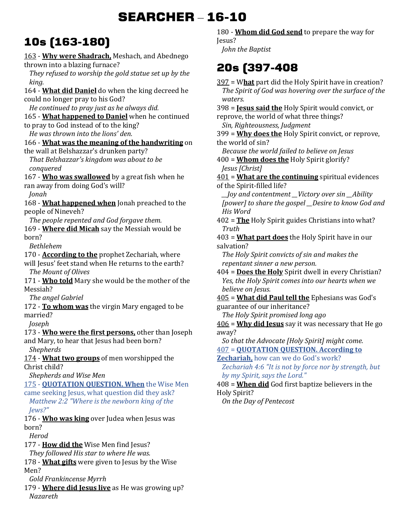# **SEARCHER** – **16-10**

## **10s (163-180)**

163 - **Why were Shadrach,** Meshach, and Abednego thrown into a blazing furnace? *They refused to worship the gold statue set up by the king.*  164 - **What did Daniel** do when the king decreed he could no longer pray to his God? *He continued to pray just as he always did.*  165 - **What happened to Daniel** when he continued to pray to God instead of to the king? *He was thrown into the lions' den.*  166 - **What was the meaning of the handwriting** on the wall at Belshazzar's drunken party? *That Belshazzar's kingdom was about to be conquered*  167 - **Who was swallowed** by a great fish when he ran away from doing God's will? *Jonah*  168 - **What happened when** Jonah preached to the people of Nineveh? *The people repented and God forgave them.*  169 - **Where did Micah** say the Messiah would be born? *Bethlehem*  170 - **According to the** prophet Zechariah, where will Jesus' feet stand when He returns to the earth? *The Mount of Olives*  171 - **Who told** Mary she would be the mother of the Messiah? *The angel Gabriel*  172 - **To whom was** the virgin Mary engaged to be married? *Joseph*  173 - **Who were the first persons,** other than Joseph and Mary, to hear that Jesus had been born? *Shepherds*  174 - **What two groups** of men worshipped the Christ child? *Shepherds and Wise Men*  175 - **QUOTATION QUESTION. When** the Wise Men came seeking Jesus, what question did they ask? *Matthew 2:2 "Where is the newborn king of the Jews?"* 176 - **Who was king** over Judea when Jesus was born? *Herod*  177 - **How did the** Wise Men find Jesus? *They followed His star to where He was.*  178 - **What gifts** were given to Jesus by the Wise

Men?

*Gold Frankincense Myrrh* 

179 - **Where did Jesus live** as He was growing up? *Nazareth* 

180 - **Whom did God send** to prepare the way for Jesus?

*John the Baptist* 

### **20s (397-408**

397 = W**hat** part did the Holy Spirit have in creation? *The Spirit of God was hovering over the surface of the waters.*  398 = **Jesus said the** Holy Spirit would convict, or reprove, the world of what three things? *Sin, Righteousness, Judgment*  399 = **Why does the** Holy Spirit convict, or reprove, the world of sin? *Because the world failed to believe on Jesus*  400 = **Whom does the** Holy Spirit glorify? *Jesus [Christ]*  401 = **What are the continuing** spiritual evidences of the Spirit-filled life? *\_\_Joy and contentment \_\_Victory over sin \_\_Ability [power] to share the gospel \_\_Desire to know God and His Word*  402 = **The** Holy Spirit guides Christians into what? *Truth*  403 = **What part does** the Holy Spirit have in our salvation? *The Holy Spirit convicts of sin and makes the repentant sinner a new person.*  404 = **Does the Holy** Spirit dwell in every Christian? *Yes, the Holy Spirit comes into our hearts when we believe on Jesus.*  405 = **What did Paul tell the** Ephesians was God's guarantee of our inheritance? *The Holy Spirit promised long ago*  406 = **Why did Jesus** say it was necessary that He go away? *So that the Advocate [Holy Spirit] might come.*  407 = **QUOTATION QUESTION. According to Zechariah,** how can we do God's work? *Zechariah 4:6 "It is not by force nor by strength, but by my Spirit, says the Lord."* 408 = **When did** God first baptize believers in the Holy Spirit? *On the Day of Pentecost*